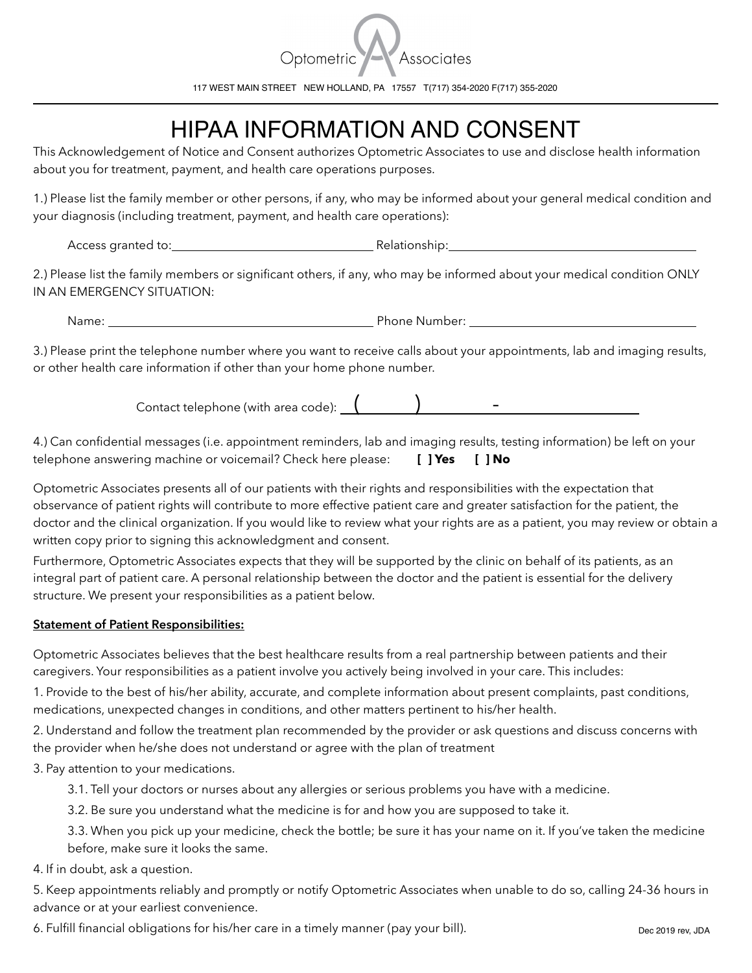

117 WEST MAIN STREET NEW HOLLAND, PA 17557 T(717) 354-2020 F(717) 355-2020

## HIPAA INFORMATION AND CONSENT

This Acknowledgement of Notice and Consent authorizes Optometric Associates to use and disclose health information about you for treatment, payment, and health care operations purposes.

1.) Please list the family member or other persons, if any, who may be informed about your general medical condition and your diagnosis (including treatment, payment, and health care operations):

Access granted to: and the contract of the Relationship:

2.) Please list the family members or significant others, if any, who may be informed about your medical condition ONLY IN AN EMERGENCY SITUATION:

Name: Phone Number:

3.) Please print the telephone number where you want to receive calls about your appointments, lab and imaging results, or other health care information if other than your home phone number.

Contact telephone (with area code):  $($   $)$   $)$   $-$ 

4.) Can confidential messages (i.e. appointment reminders, lab and imaging results, testing information) be left on your telephone answering machine or voicemail? Check here please: **[ ] Yes [ ] No**

Optometric Associates presents all of our patients with their rights and responsibilities with the expectation that observance of patient rights will contribute to more effective patient care and greater satisfaction for the patient, the doctor and the clinical organization. If you would like to review what your rights are as a patient, you may review or obtain a written copy prior to signing this acknowledgment and consent.

Furthermore, Optometric Associates expects that they will be supported by the clinic on behalf of its patients, as an integral part of patient care. A personal relationship between the doctor and the patient is essential for the delivery structure. We present your responsibilities as a patient below.

## **Statement of Patient Responsibilities:**

Optometric Associates believes that the best healthcare results from a real partnership between patients and their caregivers. Your responsibilities as a patient involve you actively being involved in your care. This includes:

1. Provide to the best of his/her ability, accurate, and complete information about present complaints, past conditions, medications, unexpected changes in conditions, and other matters pertinent to his/her health.

2. Understand and follow the treatment plan recommended by the provider or ask questions and discuss concerns with the provider when he/she does not understand or agree with the plan of treatment

3. Pay attention to your medications.

3.1. Tell your doctors or nurses about any allergies or serious problems you have with a medicine.

3.2. Be sure you understand what the medicine is for and how you are supposed to take it.

 3.3. When you pick up your medicine, check the bottle; be sure it has your name on it. If you've taken the medicine before, make sure it looks the same.

4. If in doubt, ask a question.

5. Keep appointments reliably and promptly or notify Optometric Associates when unable to do so, calling 24-36 hours in advance or at your earliest convenience.

6. Fulfill financial obligations for his/her care in a timely manner (pay your bill).